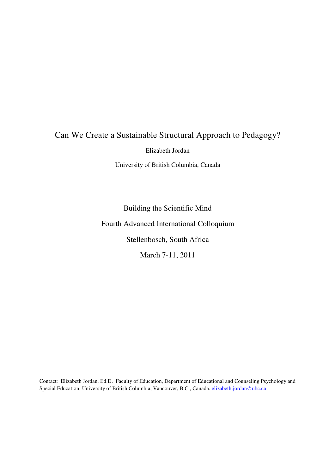# Can We Create a Sustainable Structural Approach to Pedagogy?

Elizabeth Jordan

University of British Columbia, Canada

Building the Scientific Mind Fourth Advanced International Colloquium Stellenbosch, South Africa March 7-11, 2011

Contact: Elizabeth Jordan, Ed.D. Faculty of Education, Department of Educational and Counseling Psychology and Special Education, University of British Columbia, Vancouver, B.C., Canada. elizabeth.jordan@ubc.ca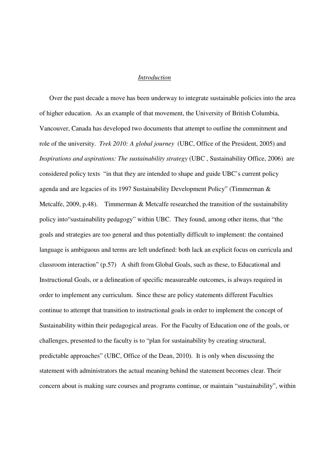#### *Introduction*

Over the past decade a move has been underway to integrate sustainable policies into the area of higher education. As an example of that movement, the University of British Columbia, Vancouver, Canada has developed two documents that attempt to outline the commitment and role of the university. *Trek 2010: A global journey* (UBC, Office of the President, 2005) and *Inspirations and aspirations: The sustainability strategy (UBC, Sustainability Office, 2006)* are considered policy texts "in that they are intended to shape and guide UBC's current policy agenda and are legacies of its 1997 Sustainability Development Policy" (Timmerman & Metcalfe, 2009, p.48). Timmerman & Metcalfe researched the transition of the sustainability policy into"sustainability pedagogy" within UBC. They found, among other items, that "the goals and strategies are too general and thus potentially difficult to implement: the contained language is ambiguous and terms are left undefined: both lack an explicit focus on curricula and classroom interaction" (p.57) A shift from Global Goals, such as these, to Educational and Instructional Goals, or a delineation of specific measureable outcomes, is always required in order to implement any curriculum. Since these are policy statements different Faculties continue to attempt that transition to instructional goals in order to implement the concept of Sustainability within their pedagogical areas. For the Faculty of Education one of the goals, or challenges, presented to the faculty is to "plan for sustainability by creating structural, predictable approaches" (UBC, Office of the Dean, 2010). It is only when discussing the statement with administrators the actual meaning behind the statement becomes clear. Their concern about is making sure courses and programs continue, or maintain "sustainability", within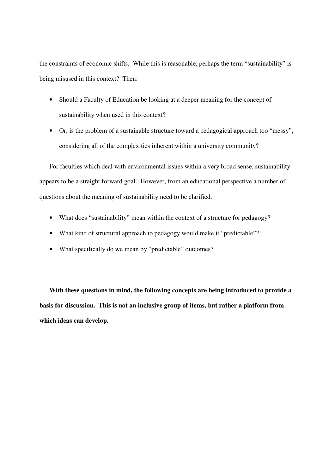the constraints of economic shifts. While this is reasonable, perhaps the term "sustainability" is being misused in this context? Then:

- Should a Faculty of Education be looking at a deeper meaning for the concept of sustainability when used in this context?
- Or, is the problem of a sustainable structure toward a pedagogical approach too "messy", considering all of the complexities inherent within a university community?

For faculties which deal with environmental issues within a very broad sense, sustainability appears to be a straight forward goal. However, from an educational perspective a number of questions about the meaning of sustainability need to be clarified.

- What does "sustainability" mean within the context of a structure for pedagogy?
- What kind of structural approach to pedagogy would make it "predictable"?
- What specifically do we mean by "predictable" outcomes?

**With these questions in mind, the following concepts are being introduced to provide a basis for discussion. This is not an inclusive group of items, but rather a platform from which ideas can develop.**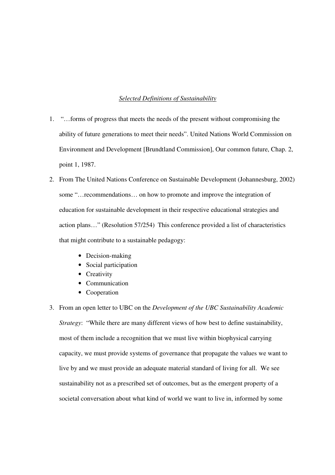#### *Selected Definitions of Sustainability*

- 1. "…forms of progress that meets the needs of the present without compromising the ability of future generations to meet their needs". United Nations World Commission on Environment and Development [Brundtland Commission], Our common future, Chap. 2, point 1, 1987.
- 2. From The United Nations Conference on Sustainable Development (Johannesburg, 2002) some "…recommendations… on how to promote and improve the integration of education for sustainable development in their respective educational strategies and action plans…" (Resolution 57/254) This conference provided a list of characteristics that might contribute to a sustainable pedagogy:
	- Decision-making
	- Social participation
	- Creativity
	- Communication
	- Cooperation
- 3. From an open letter to UBC on the *Development of the UBC Sustainability Academic Strategy*: "While there are many different views of how best to define sustainability, most of them include a recognition that we must live within biophysical carrying capacity, we must provide systems of governance that propagate the values we want to live by and we must provide an adequate material standard of living for all. We see sustainability not as a prescribed set of outcomes, but as the emergent property of a societal conversation about what kind of world we want to live in, informed by some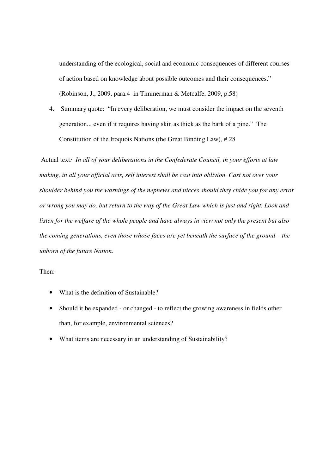understanding of the ecological, social and economic consequences of different courses of action based on knowledge about possible outcomes and their consequences." (Robinson, J., 2009, para.4 in Timmerman & Metcalfe, 2009, p.58)

4. Summary quote: "In every deliberation, we must consider the impact on the seventh generation... even if it requires having skin as thick as the bark of a pine." The Constitution of the Iroquois Nations (the Great Binding Law), # 28

 Actual text*: In all of your deliberations in the Confederate Council, in your efforts at law making, in all your official acts, self interest shall be cast into oblivion. Cast not over your shoulder behind you the warnings of the nephews and nieces should they chide you for any error or wrong you may do, but return to the way of the Great Law which is just and right. Look and listen for the welfare of the whole people and have always in view not only the present but also the coming generations, even those whose faces are yet beneath the surface of the ground – the unborn of the future Nation.* 

### Then:

- What is the definition of Sustainable?
- Should it be expanded or changed to reflect the growing awareness in fields other than, for example, environmental sciences?
- What items are necessary in an understanding of Sustainability?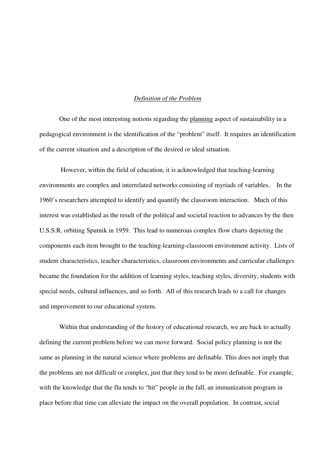#### *Definition of the Problem*

One of the most interesting notions regarding the planning aspect of sustainability in a pedagogical environment is the identification of the "problem" itself. It requires an identification of the current situation and a description of the desired or ideal situation.

 However, within the field of education, it is acknowledged that teaching-learning environments are complex and interrelated networks consisting of myriads of variables. In the 1960's researchers attempted to identify and quantify the classroom interaction. Much of this interest was established as the result of the political and societal reaction to advances by the then U.S.S.R. orbiting Sputnik in 1959. This lead to numerous complex flow charts depicting the components each item brought to the teaching-learning-classroom environment activity. Lists of student characteristics, teacher characteristics, classroom environments and curricular challenges became the foundation for the addition of learning styles, teaching styles, diversity, students with special needs, cultural influences, and so forth. All of this research leads to a call for changes and improvement to our educational system.

Within that understanding of the history of educational research, we are back to actually defining the current problem before we can move forward. Social policy planning is not the same as planning in the natural science where problems are definable. This does not imply that the problems are not difficult or complex, just that they tend to be more definable. For example, with the knowledge that the flu tends to "hit" people in the fall, an immunization program in place before that time can alleviate the impact on the overall population. In contrast, social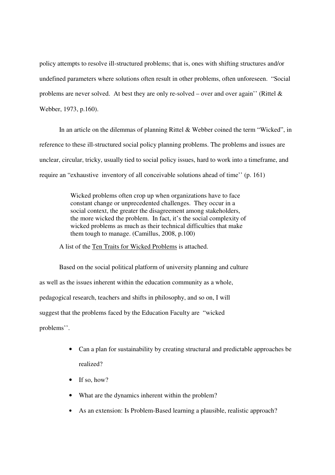policy attempts to resolve ill-structured problems; that is, ones with shifting structures and/or undefined parameters where solutions often result in other problems, often unforeseen. "Social problems are never solved. At best they are only re-solved – over and over again'' (Rittel & Webber, 1973, p.160).

 In an article on the dilemmas of planning Rittel & Webber coined the term "Wicked", in reference to these ill-structured social policy planning problems. The problems and issues are unclear, circular, tricky, usually tied to social policy issues, hard to work into a timeframe, and require an "exhaustive inventory of all conceivable solutions ahead of time'' (p. 161)

> Wicked problems often crop up when organizations have to face constant change or unprecedented challenges. They occur in a social context, the greater the disagreement among stakeholders, the more wicked the problem. In fact, it's the social complexity of wicked problems as much as their technical difficulties that make them tough to manage. (Camillus, 2008, p.100)

A list of the Ten Traits for Wicked Problems is attached.

Based on the social political platform of university planning and culture as well as the issues inherent within the education community as a whole, pedagogical research, teachers and shifts in philosophy, and so on, I will suggest that the problems faced by the Education Faculty are "wicked problems''.

- Can a plan for sustainability by creating structural and predictable approaches be realized?
- $\bullet$  If so, how?
- What are the dynamics inherent within the problem?
- As an extension: Is Problem-Based learning a plausible, realistic approach?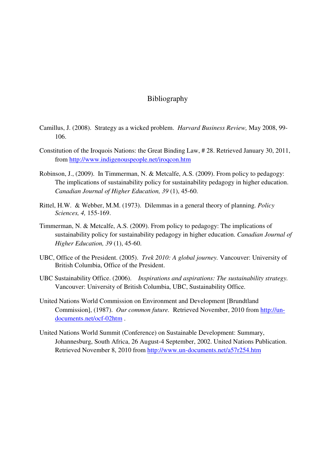## Bibliography

- Camillus, J. (2008). Strategy as a wicked problem. *Harvard Business Review,* May 2008, 99- 106.
- Constitution of the Iroquois Nations: the Great Binding Law, # 28. Retrieved January 30, 2011, from http://www.indigenouspeople.net/iroqcon.htm
- Robinson, J., (2009). In Timmerman, N. & Metcalfe, A.S. (2009). From policy to pedagogy: The implications of sustainability policy for sustainability pedagogy in higher education. *Canadian Journal of Higher Education, 39* (1), 45-60.
- Rittel, H.W. & Webber, M.M. (1973). Dilemmas in a general theory of planning. *Policy Sciences, 4,* 155-169.
- Timmerman, N. & Metcalfe, A.S. (2009). From policy to pedagogy: The implications of sustainability policy for sustainability pedagogy in higher education. *Canadian Journal of Higher Education, 39* (1), 45-60.
- UBC, Office of the President. (2005). *Trek 2010: A global journey.* Vancouver: University of British Columbia, Office of the President.
- UBC Sustainability Office. (2006). *Inspirations and aspirations: The sustainability strategy.*  Vancouver: University of British Columbia, UBC, Sustainability Office.
- United Nations World Commission on Environment and Development [Brundtland Commission], (1987). *Our common future.* Retrieved November, 2010 from http://undocuments.net/ocf-02htm .
- United Nations World Summit (Conference) on Sustainable Development: Summary, Johannesburg, South Africa, 26 August-4 September, 2002. United Nations Publication. Retrieved November 8, 2010 from http://www.un-documents.net/a57r254.htm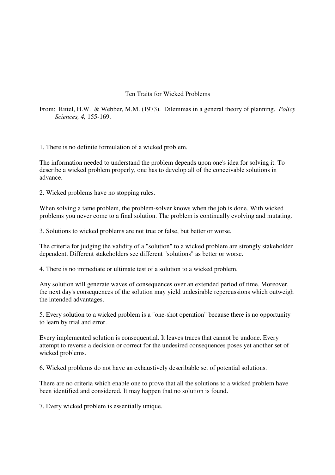### Ten Traits for Wicked Problems

From: Rittel, H.W. & Webber, M.M. (1973). Dilemmas in a general theory of planning. *Policy Sciences, 4,* 155-169.

1. There is no definite formulation of a wicked problem.

The information needed to understand the problem depends upon one's idea for solving it. To describe a wicked problem properly, one has to develop all of the conceivable solutions in advance.

2. Wicked problems have no stopping rules.

When solving a tame problem, the problem-solver knows when the job is done. With wicked problems you never come to a final solution. The problem is continually evolving and mutating.

3. Solutions to wicked problems are not true or false, but better or worse.

The criteria for judging the validity of a "solution" to a wicked problem are strongly stakeholder dependent. Different stakeholders see different "solutions" as better or worse.

4. There is no immediate or ultimate test of a solution to a wicked problem.

Any solution will generate waves of consequences over an extended period of time. Moreover, the next day's consequences of the solution may yield undesirable repercussions which outweigh the intended advantages.

5. Every solution to a wicked problem is a "one-shot operation" because there is no opportunity to learn by trial and error.

Every implemented solution is consequential. It leaves traces that cannot be undone. Every attempt to reverse a decision or correct for the undesired consequences poses yet another set of wicked problems.

6. Wicked problems do not have an exhaustively describable set of potential solutions.

There are no criteria which enable one to prove that all the solutions to a wicked problem have been identified and considered. It may happen that no solution is found.

7. Every wicked problem is essentially unique.